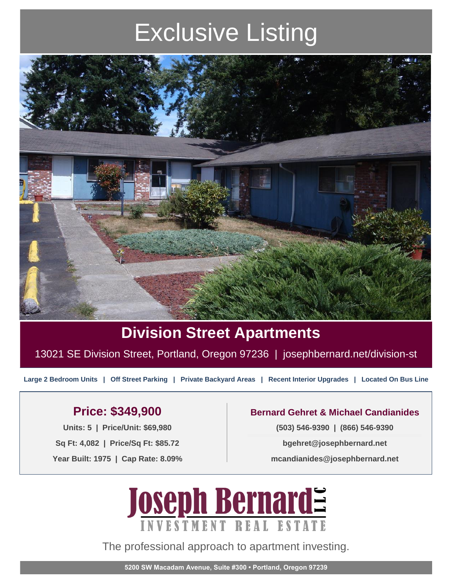# Exclusive Listing



### **Division Street Apartments**

13021 SE Division Street, Portland, Oregon 97236 | josephbernard.net/division-st

**Large 2 Bedroom Units | Off Street Parking | Private Backyard Areas | Recent Interior Upgrades | Located On Bus Line**

#### **Price: \$349,900**

**Units: 5 | Price/Unit: \$69,980 Sq Ft: 4,082 | Price/Sq Ft: \$85.72 Year Built: 1975 | Cap Rate: 8.09%**

#### **Bernard Gehret & Michael Candianides**

**(503) 546-9390 | (866) 546-9390**

**bgehret@josephbernard.net**

**mcandianides@josephbernard.net**



The professional approach to apartment investing.

**5200 SW Macadam Avenue, Suite #300 • Portland, Oregon 97239**